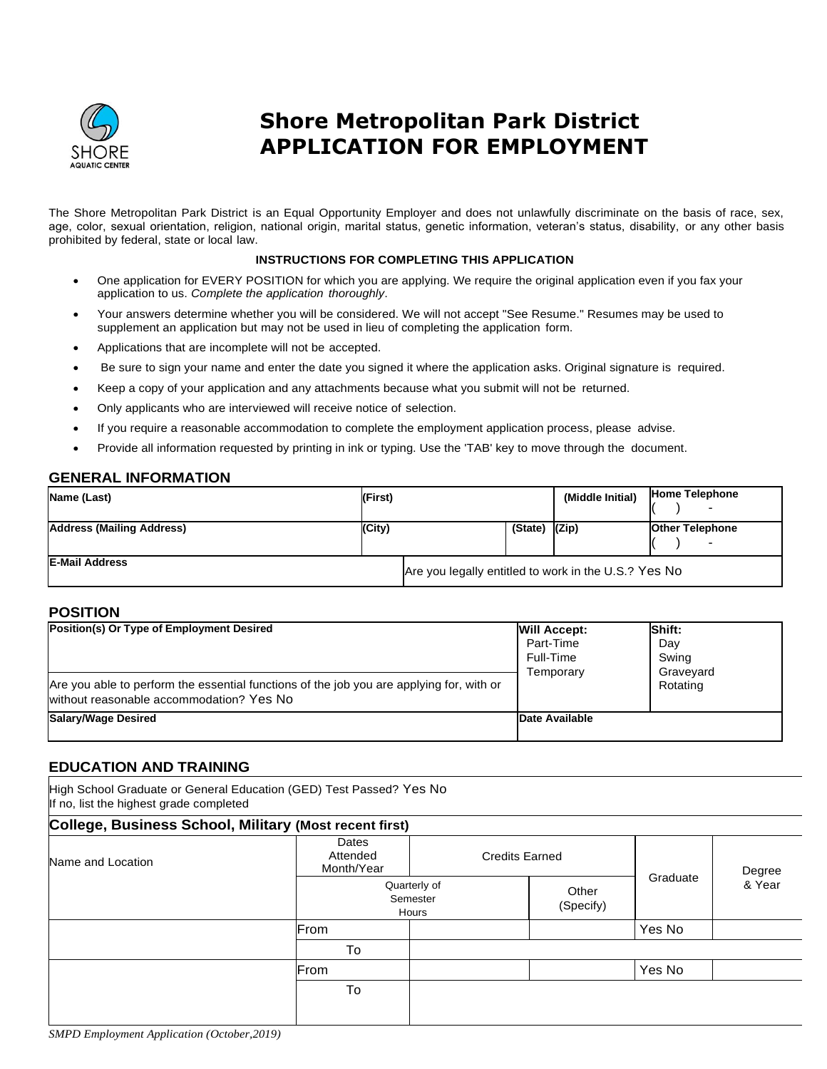

# **Shore Metropolitan Park District APPLICATION FOR EMPLOYMENT**

The Shore Metropolitan Park District is an Equal Opportunity Employer and does not unlawfully discriminate on the basis of race, sex, age, color, sexual orientation, religion, national origin, marital status, genetic information, veteran's status, disability, or any other basis prohibited by federal, state or local law.

#### **INSTRUCTIONS FOR COMPLETING THIS APPLICATION**

- One application for EVERY POSITION for which you are applying. We require the original application even if you fax your application to us. *Complete the application thoroughly*.
- Your answers determine whether you will be considered. We will not accept "See Resume." Resumes may be used to supplement an application but may not be used in lieu of completing the application form.
- Applications that are incomplete will not be accepted.
- Be sure to sign your name and enter the date you signed it where the application asks. Original signature is required.
- Keep a copy of your application and any attachments because what you submit will not be returned.
- Only applicants who are interviewed will receive notice of selection.
- If you require a reasonable accommodation to complete the employment application process, please advise.
- Provide all information requested by printing in ink or typing. Use the 'TAB' key to move through the document.

#### **GENERAL INFORMATION**

| Name (Last)               | (First) |                                                      |                    | (Middle Initial) | <b>Home Telephone</b><br>$\overline{\phantom{0}}$  |
|---------------------------|---------|------------------------------------------------------|--------------------|------------------|----------------------------------------------------|
| Address (Mailing Address) | (City)  |                                                      | $(State)$ $ (Zip)$ |                  | <b>Other Telephone</b><br>$\overline{\phantom{0}}$ |
| <b>IE-Mail Address</b>    |         | Are you legally entitled to work in the U.S.? Yes No |                    |                  |                                                    |

#### **POSITION**

| Position(s) Or Type of Employment Desired<br>Are you able to perform the essential functions of the job you are applying for, with or<br>without reasonable accommodation? Yes No | <b>Will Accept:</b><br>Part-Time<br>Full-Time<br>Temporarv | Shift:<br>Dav<br>Swing<br>Graveyard<br>Rotating |
|-----------------------------------------------------------------------------------------------------------------------------------------------------------------------------------|------------------------------------------------------------|-------------------------------------------------|
| Salary/Wage Desired                                                                                                                                                               | Date Available                                             |                                                 |

#### **EDUCATION AND TRAINING**

High School Graduate or General Education (GED) Test Passed? Yes No If no, list the highest grade completed

| College, Business School, Military (Most recent first) |                                 |                                                         |  |          |                  |
|--------------------------------------------------------|---------------------------------|---------------------------------------------------------|--|----------|------------------|
| Name and Location                                      | Dates<br>Attended<br>Month/Year | <b>Credits Earned</b>                                   |  |          | Degree<br>& Year |
|                                                        |                                 | Quarterly of<br>Other<br>Semester<br>(Specify)<br>Hours |  | Graduate |                  |
|                                                        | From                            |                                                         |  | Yes No   |                  |
|                                                        | To                              |                                                         |  |          |                  |
|                                                        | From                            |                                                         |  | Yes No   |                  |
|                                                        | To                              |                                                         |  |          |                  |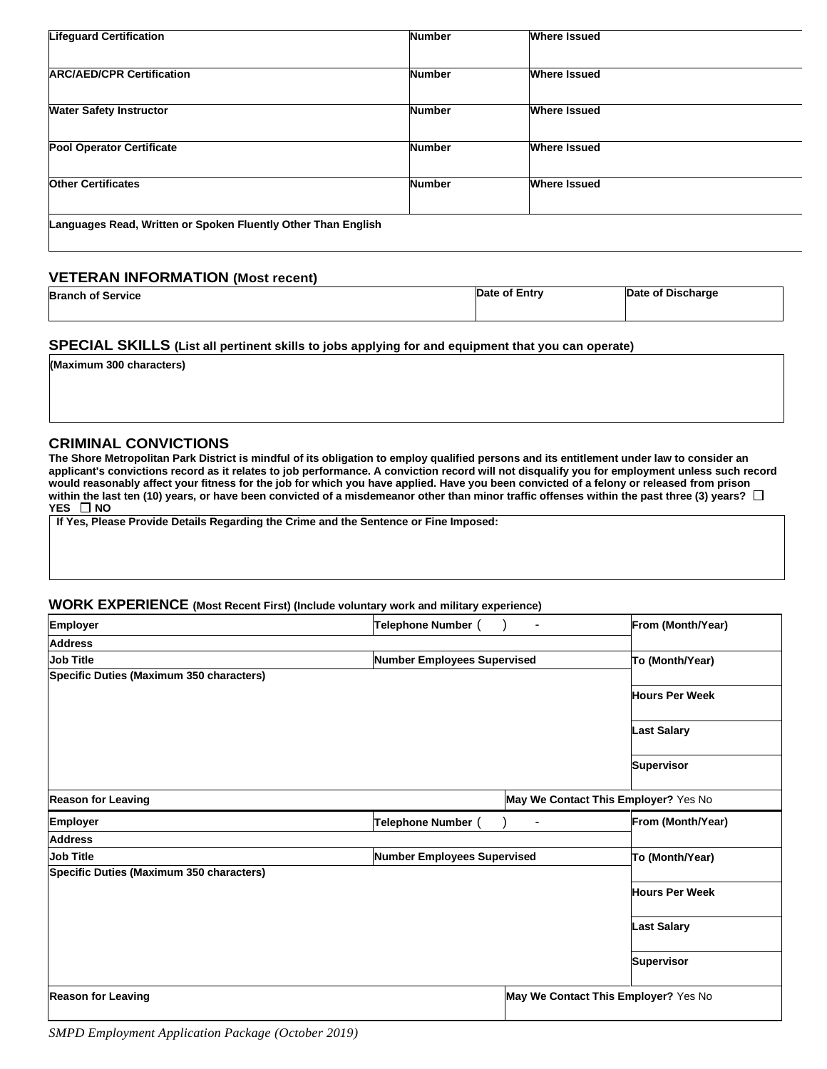| <b>Lifeguard Certification</b>                                | <b>Number</b> | <b>Where Issued</b> |  |
|---------------------------------------------------------------|---------------|---------------------|--|
|                                                               |               |                     |  |
| <b>ARC/AED/CPR Certification</b>                              | <b>Number</b> | <b>Where Issued</b> |  |
|                                                               |               |                     |  |
| <b>Water Safety Instructor</b>                                | <b>Number</b> | <b>Where Issued</b> |  |
|                                                               |               |                     |  |
| <b>Pool Operator Certificate</b>                              | <b>Number</b> | <b>Where Issued</b> |  |
|                                                               |               |                     |  |
| <b>Other Certificates</b>                                     | <b>Number</b> | <b>Where Issued</b> |  |
|                                                               |               |                     |  |
| Languages Read, Written or Spoken Fluently Other Than English |               |                     |  |

### **VETERAN INFORMATION (Most recent)**

| <b>Branch of Service</b> | Date of Entry | Date of Discharge |
|--------------------------|---------------|-------------------|
|                          |               |                   |

## **SPECIAL SKILLS (List all pertinent skills to jobs applying for and equipment that you can operate)**

**(Maximum 300 characters)**

**CRIMINAL CONVICTIONS**

**The Shore Metropolitan Park District is mindful of its obligation to employ qualified persons and its entitlement under law to consider an applicant's convictions record as it relates to job performance. A conviction record will not disqualify you for employment unless such record would reasonably affect your fitness for the job for which you have applied. Have you been convicted of a felony or released from prison within the last ten (10) years, or have been convicted of a misdemeanor other than minor traffic offenses within the past three (3) years? YES NO**

**If Yes, Please Provide Details Regarding the Crime and the Sentence or Fine Imposed:**

#### **WORK EXPERIENCE (Most Recent First) (Include voluntary work and military experience)**

| Employer                                 | Telephone Number                   |                                      | From (Month/Year)     |
|------------------------------------------|------------------------------------|--------------------------------------|-----------------------|
| <b>Address</b>                           |                                    |                                      |                       |
| <b>Job Title</b>                         | Number Employees Supervised        |                                      | To (Month/Year)       |
| Specific Duties (Maximum 350 characters) |                                    |                                      |                       |
|                                          |                                    |                                      | <b>Hours Per Week</b> |
|                                          |                                    |                                      | <b>Last Salary</b>    |
|                                          |                                    |                                      | <b>Supervisor</b>     |
| <b>Reason for Leaving</b>                |                                    | May We Contact This Employer? Yes No |                       |
| <b>Employer</b>                          | Telephone Number (                 | $\blacksquare$                       | From (Month/Year)     |
| <b>Address</b>                           |                                    |                                      |                       |
| <b>Job Title</b>                         | <b>Number Employees Supervised</b> |                                      | To (Month/Year)       |
| Specific Duties (Maximum 350 characters) |                                    |                                      |                       |
|                                          |                                    |                                      | <b>Hours Per Week</b> |
|                                          |                                    |                                      | <b>Last Salary</b>    |
|                                          |                                    |                                      | <b>Supervisor</b>     |
| <b>Reason for Leaving</b>                |                                    | May We Contact This Employer? Yes No |                       |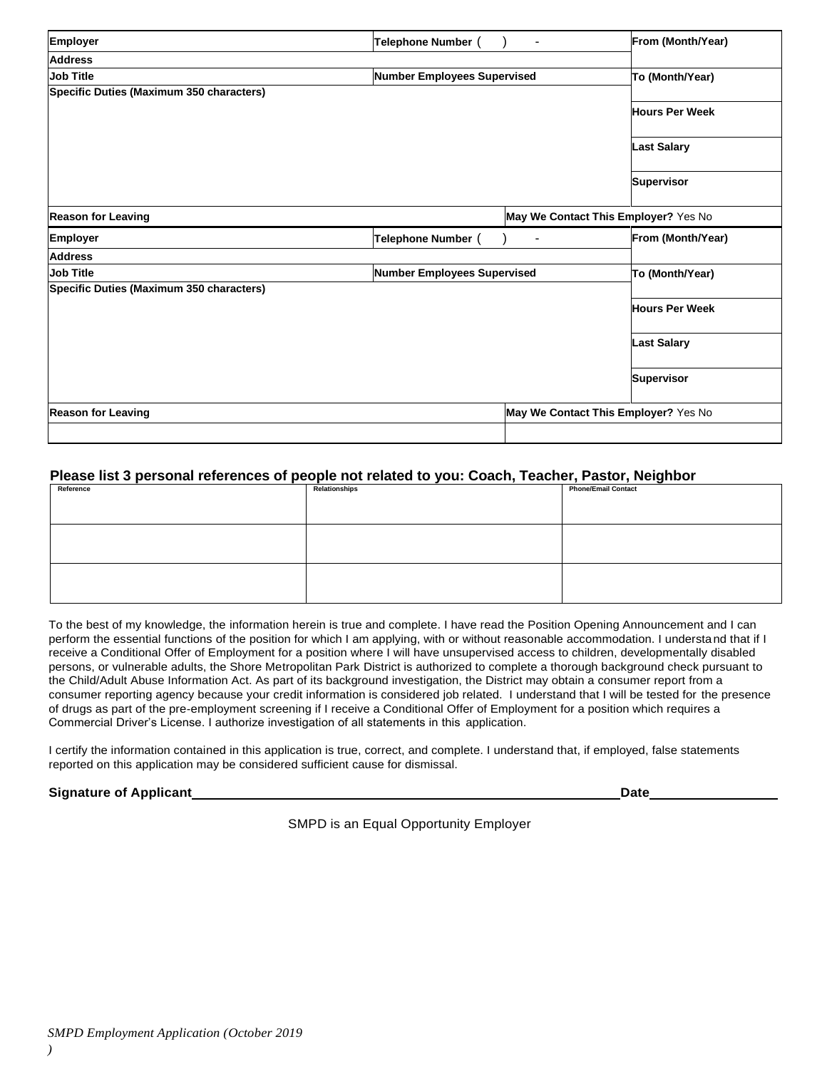| <b>Reason for Leaving</b>                |                             | May We Contact This Employer? Yes No |                       |
|------------------------------------------|-----------------------------|--------------------------------------|-----------------------|
|                                          |                             |                                      | <b>Supervisor</b>     |
|                                          |                             |                                      | <b>Last Salary</b>    |
|                                          |                             |                                      | <b>Hours Per Week</b> |
| Specific Duties (Maximum 350 characters) |                             |                                      |                       |
| <b>Job Title</b>                         | Number Employees Supervised |                                      | To (Month/Year)       |
| <b>Address</b>                           |                             |                                      |                       |
| <b>Employer</b>                          | Telephone Number (          | $\blacksquare$                       | From (Month/Year)     |
| <b>Reason for Leaving</b>                |                             | May We Contact This Employer? Yes No |                       |
|                                          |                             |                                      | <b>Supervisor</b>     |
|                                          |                             |                                      | <b>Last Salary</b>    |
|                                          |                             |                                      | <b>Hours Per Week</b> |
| Specific Duties (Maximum 350 characters) |                             |                                      |                       |
| <b>Job Title</b>                         | Number Employees Supervised |                                      | To (Month/Year)       |
| <b>Address</b>                           |                             |                                      |                       |
| <b>Employer</b>                          | Telephone Number (          |                                      | From (Month/Year)     |

## **Please list 3 personal references of people not related to you: Coach, Teacher, Pastor, Neighbor**

| Reference | Relationships | <b>Phone/Email Contact</b> |
|-----------|---------------|----------------------------|
|           |               |                            |
|           |               |                            |

To the best of my knowledge, the information herein is true and complete. I have read the Position Opening Announcement and I can perform the essential functions of the position for which I am applying, with or without reasonable accommodation. I understand that if I receive a Conditional Offer of Employment for a position where I will have unsupervised access to children, developmentally disabled persons, or vulnerable adults, the Shore Metropolitan Park District is authorized to complete a thorough background check pursuant to the Child/Adult Abuse Information Act. As part of its background investigation, the District may obtain a consumer report from a consumer reporting agency because your credit information is considered job related. I understand that I will be tested for the presence of drugs as part of the pre-employment screening if I receive a Conditional Offer of Employment for a position which requires a Commercial Driver's License. I authorize investigation of all statements in this application.

I certify the information contained in this application is true, correct, and complete. I understand that, if employed, false statements reported on this application may be considered sufficient cause for dismissal.

#### **Signature of Applicant Date Date Date Date Date Date Date Date Date Date Date Date Date Date Date Date Date Date Date Date Date Date Date Date Date Date Date Date**

SMPD is an Equal Opportunity Employer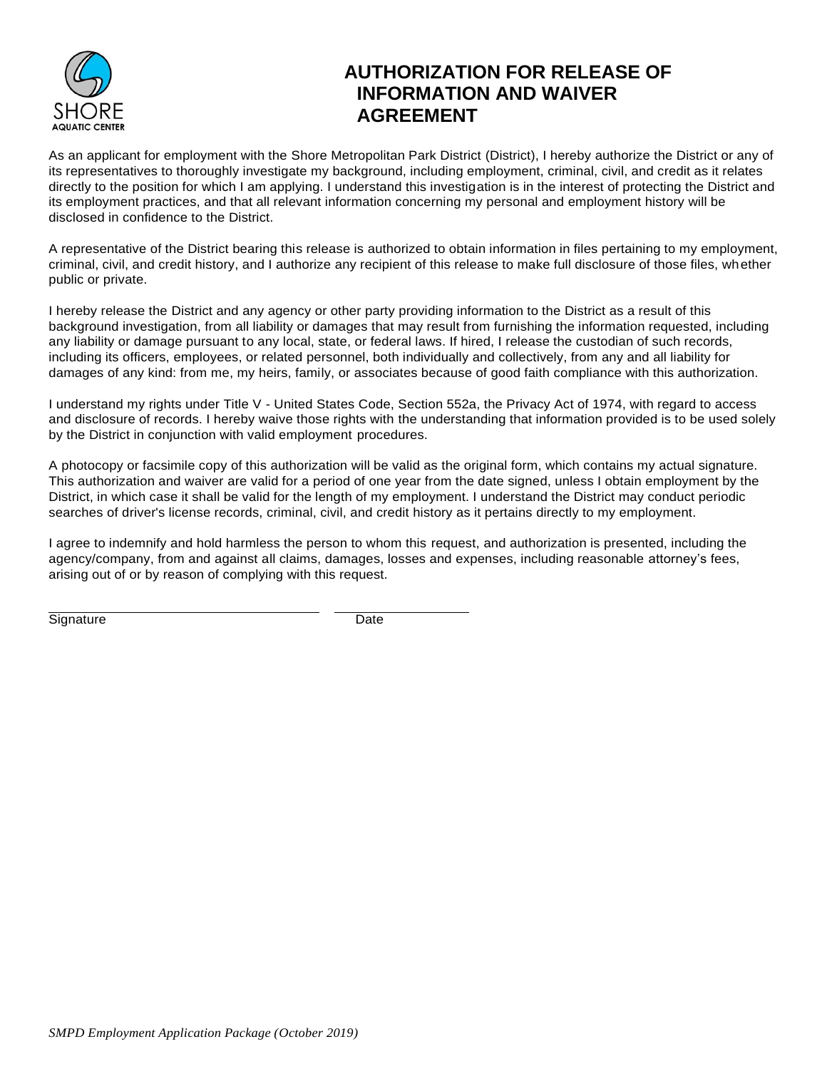

## **AUTHORIZATION FOR RELEASE OF INFORMATION AND WAIVER AGREEMENT**

As an applicant for employment with the Shore Metropolitan Park District (District), I hereby authorize the District or any of its representatives to thoroughly investigate my background, including employment, criminal, civil, and credit as it relates directly to the position for which I am applying. I understand this investigation is in the interest of protecting the District and its employment practices, and that all relevant information concerning my personal and employment history will be disclosed in confidence to the District.

A representative of the District bearing this release is authorized to obtain information in files pertaining to my employment, criminal, civil, and credit history, and I authorize any recipient of this release to make full disclosure of those files, whether public or private.

I hereby release the District and any agency or other party providing information to the District as a result of this background investigation, from all liability or damages that may result from furnishing the information requested, including any liability or damage pursuant to any local, state, or federal laws. If hired, I release the custodian of such records, including its officers, employees, or related personnel, both individually and collectively, from any and all liability for damages of any kind: from me, my heirs, family, or associates because of good faith compliance with this authorization.

I understand my rights under Title V - United States Code, Section 552a, the Privacy Act of 1974, with regard to access and disclosure of records. I hereby waive those rights with the understanding that information provided is to be used solely by the District in conjunction with valid employment procedures.

A photocopy or facsimile copy of this authorization will be valid as the original form, which contains my actual signature. This authorization and waiver are valid for a period of one year from the date signed, unless I obtain employment by the District, in which case it shall be valid for the length of my employment. I understand the District may conduct periodic searches of driver's license records, criminal, civil, and credit history as it pertains directly to my employment.

I agree to indemnify and hold harmless the person to whom this request, and authorization is presented, including the agency/company, from and against all claims, damages, losses and expenses, including reasonable attorney's fees, arising out of or by reason of complying with this request.

Signature Date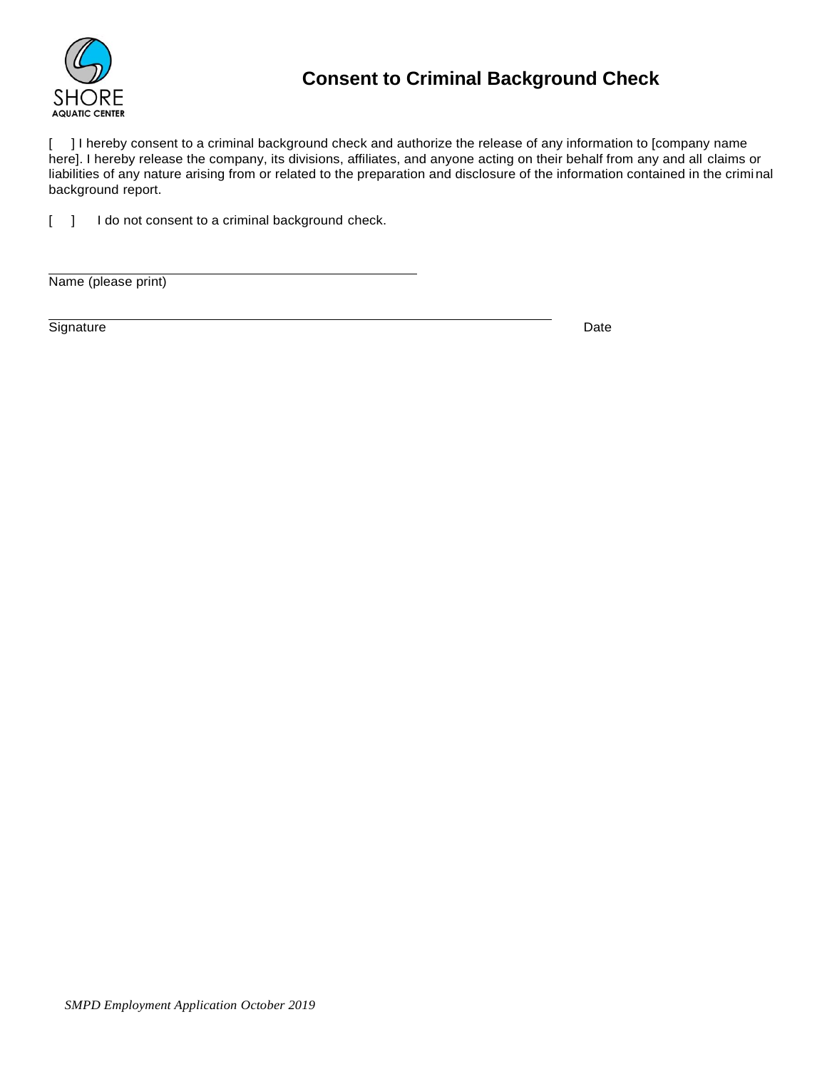

# **Consent to Criminal Background Check**

[ ] I hereby consent to a criminal background check and authorize the release of any information to [company name here]. I hereby release the company, its divisions, affiliates, and anyone acting on their behalf from any and all claims or liabilities of any nature arising from or related to the preparation and disclosure of the information contained in the criminal background report.

[ ] I do not consent to a criminal background check.

Name (please print)

Signature Date Date of the Date of the Date of the Date of the Date of the Date of the Date of the Date of the